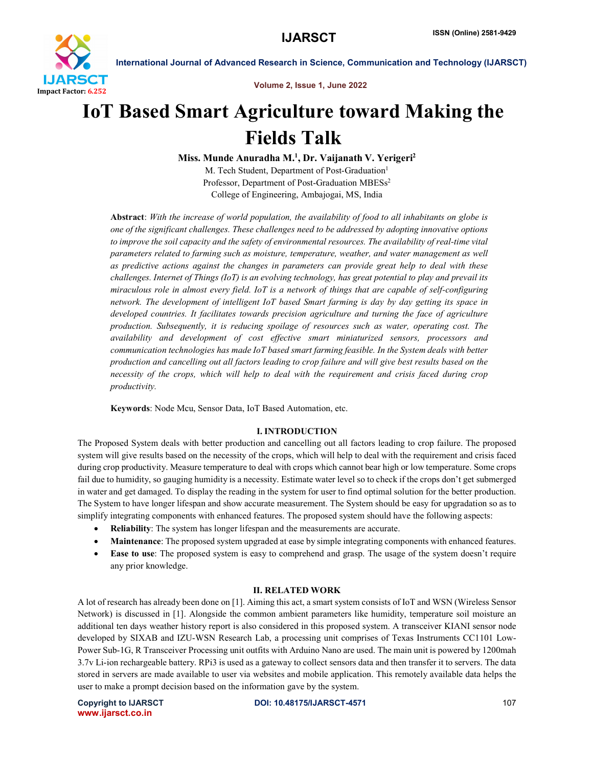

Volume 2, Issue 1, June 2022

# IoT Based Smart Agriculture toward Making the Fields Talk

Miss. Munde Anuradha M.<sup>1</sup>, Dr. Vaijanath V. Yerigeri<sup>2</sup> M. Tech Student, Department of Post-Graduation<sup>1</sup> Professor, Department of Post-Graduation MBESs<sup>2</sup> College of Engineering, Ambajogai, MS, India

Abstract: *With the increase of world population, the availability of food to all inhabitants on globe is one of the significant challenges. These challenges need to be addressed by adopting innovative options to improve the soil capacity and the safety of environmental resources. The availability of real-time vital parameters related to farming such as moisture, temperature, weather, and water management as well as predictive actions against the changes in parameters can provide great help to deal with these challenges. Internet of Things (IoT) is an evolving technology, has great potential to play and prevail its miraculous role in almost every field. IoT is a network of things that are capable of self-configuring network. The development of intelligent IoT based Smart farming is day by day getting its space in developed countries. It facilitates towards precision agriculture and turning the face of agriculture production. Subsequently, it is reducing spoilage of resources such as water, operating cost. The availability and development of cost effective smart miniaturized sensors, processors and communication technologies has made IoT based smart farming feasible. In the System deals with better production and cancelling out all factors leading to crop failure and will give best results based on the necessity of the crops, which will help to deal with the requirement and crisis faced during crop productivity.*

Keywords: Node Mcu, Sensor Data, IoT Based Automation, etc.

# I. INTRODUCTION

The Proposed System deals with better production and cancelling out all factors leading to crop failure. The proposed system will give results based on the necessity of the crops, which will help to deal with the requirement and crisis faced during crop productivity. Measure temperature to deal with crops which cannot bear high or low temperature. Some crops fail due to humidity, so gauging humidity is a necessity. Estimate water level so to check if the crops don't get submerged in water and get damaged. To display the reading in the system for user to find optimal solution for the better production. The System to have longer lifespan and show accurate measurement. The System should be easy for upgradation so as to simplify integrating components with enhanced features. The proposed system should have the following aspects:

- Reliability: The system has longer lifespan and the measurements are accurate.
- Maintenance: The proposed system upgraded at ease by simple integrating components with enhanced features.
- Ease to use: The proposed system is easy to comprehend and grasp. The usage of the system doesn't require any prior knowledge.

# II. RELATED WORK

A lot of research has already been done on [1]. Aiming this act, a smart system consists of IoT and WSN (Wireless Sensor Network) is discussed in [1]. Alongside the common ambient parameters like humidity, temperature soil moisture an additional ten days weather history report is also considered in this proposed system. A transceiver KIANI sensor node developed by SIXAB and IZU-WSN Research Lab, a processing unit comprises of Texas Instruments CC1101 Low-Power Sub-1G, R Transceiver Processing unit outfits with Arduino Nano are used. The main unit is powered by 1200mah 3.7v Li-ion rechargeable battery. RPi3 is used as a gateway to collect sensors data and then transfer it to servers. The data stored in servers are made available to user via websites and mobile application. This remotely available data helps the user to make a prompt decision based on the information gave by the system.

www.ijarsct.co.in

Copyright to IJARSCT **DOI: 10.48175/IJARSCT-4571** 107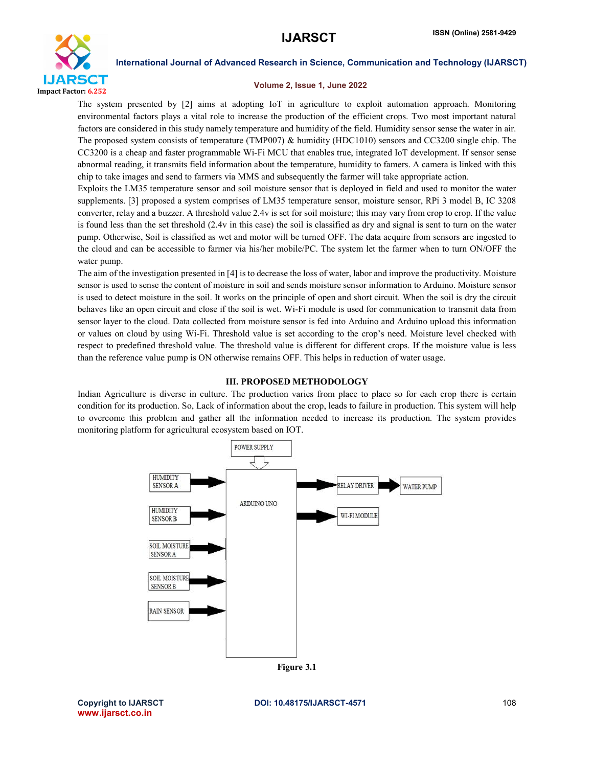

#### Volume 2, Issue 1, June 2022

The system presented by [2] aims at adopting IoT in agriculture to exploit automation approach. Monitoring environmental factors plays a vital role to increase the production of the efficient crops. Two most important natural factors are considered in this study namely temperature and humidity of the field. Humidity sensor sense the water in air. The proposed system consists of temperature (TMP007) & humidity (HDC1010) sensors and CC3200 single chip. The CC3200 is a cheap and faster programmable Wi-Fi MCU that enables true, integrated IoT development. If sensor sense abnormal reading, it transmits field information about the temperature, humidity to famers. A camera is linked with this chip to take images and send to farmers via MMS and subsequently the farmer will take appropriate action.

Exploits the LM35 temperature sensor and soil moisture sensor that is deployed in field and used to monitor the water supplements. [3] proposed a system comprises of LM35 temperature sensor, moisture sensor, RPi 3 model B, IC 3208 converter, relay and a buzzer. A threshold value 2.4v is set for soil moisture; this may vary from crop to crop. If the value is found less than the set threshold (2.4v in this case) the soil is classified as dry and signal is sent to turn on the water pump. Otherwise, Soil is classified as wet and motor will be turned OFF. The data acquire from sensors are ingested to the cloud and can be accessible to farmer via his/her mobile/PC. The system let the farmer when to turn ON/OFF the water pump.

The aim of the investigation presented in [4] is to decrease the loss of water, labor and improve the productivity. Moisture sensor is used to sense the content of moisture in soil and sends moisture sensor information to Arduino. Moisture sensor is used to detect moisture in the soil. It works on the principle of open and short circuit. When the soil is dry the circuit behaves like an open circuit and close if the soil is wet. Wi-Fi module is used for communication to transmit data from sensor layer to the cloud. Data collected from moisture sensor is fed into Arduino and Arduino upload this information or values on cloud by using Wi-Fi. Threshold value is set according to the crop's need. Moisture level checked with respect to predefined threshold value. The threshold value is different for different crops. If the moisture value is less than the reference value pump is ON otherwise remains OFF. This helps in reduction of water usage.

# III. PROPOSED METHODOLOGY

Indian Agriculture is diverse in culture. The production varies from place to place so for each crop there is certain condition for its production. So, Lack of information about the crop, leads to failure in production. This system will help to overcome this problem and gather all the information needed to increase its production. The system provides monitoring platform for agricultural ecosystem based on IOT.



www.ijarsct.co.in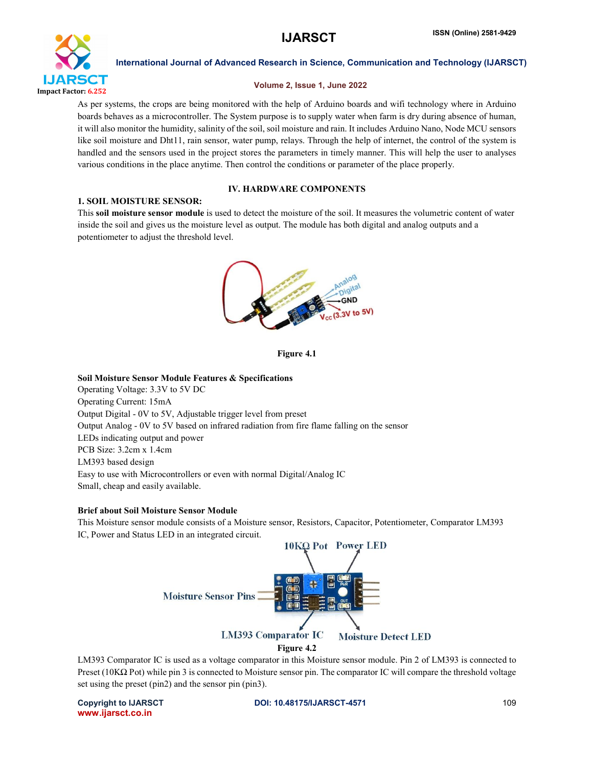

### Volume 2, Issue 1, June 2022

As per systems, the crops are being monitored with the help of Arduino boards and wifi technology where in Arduino boards behaves as a microcontroller. The System purpose is to supply water when farm is dry during absence of human, it will also monitor the humidity, salinity of the soil, soil moisture and rain. It includes Arduino Nano, Node MCU sensors like soil moisture and Dht11, rain sensor, water pump, relays. Through the help of internet, the control of the system is handled and the sensors used in the project stores the parameters in timely manner. This will help the user to analyses various conditions in the place anytime. Then control the conditions or parameter of the place properly.

# IV. HARDWARE COMPONENTS

### 1. SOIL MOISTURE SENSOR:

This soil moisture sensor module is used to detect the moisture of the soil. It measures the volumetric content of water inside the soil and gives us the moisture level as output. The module has both digital and analog outputs and a potentiometer to adjust the threshold level.



Figure 4.1

### Soil Moisture Sensor Module Features & Specifications

Operating Voltage: 3.3V to 5V DC Operating Current: 15mA Output Digital - 0V to 5V, Adjustable trigger level from preset Output Analog - 0V to 5V based on infrared radiation from fire flame falling on the sensor LEDs indicating output and power PCB Size: 3.2cm x 1.4cm LM393 based design Easy to use with Microcontrollers or even with normal Digital/Analog IC Small, cheap and easily available.

### Brief about Soil Moisture Sensor Module

This Moisture sensor module consists of a Moisture sensor, Resistors, Capacitor, Potentiometer, Comparator LM393 IC, Power and Status LED in an integrated circuit.



LM393 Comparator IC is used as a voltage comparator in this Moisture sensor module. Pin 2 of LM393 is connected to Preset (10K $\Omega$  Pot) while pin 3 is connected to Moisture sensor pin. The comparator IC will compare the threshold voltage set using the preset (pin2) and the sensor pin (pin3).

www.ijarsct.co.in

Copyright to IJARSCT **DOI: 10.48175/IJARSCT-4571** 109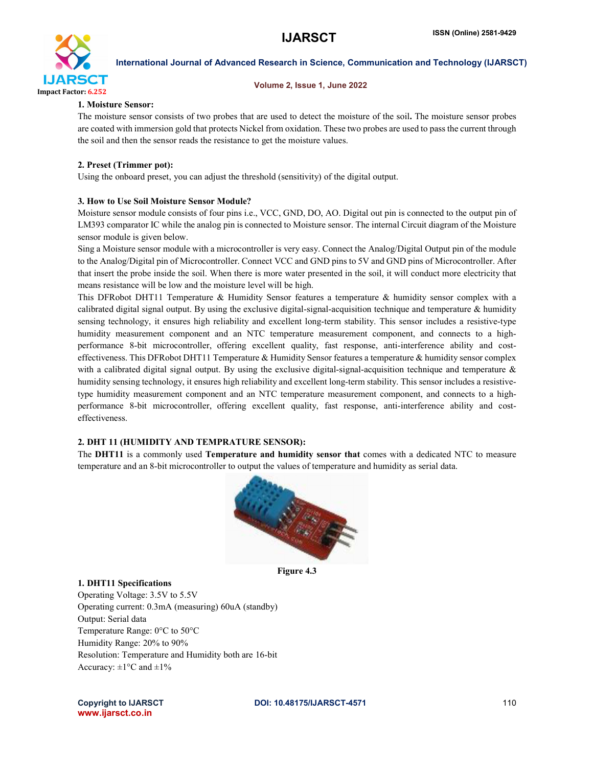

#### Volume 2, Issue 1, June 2022

### 1. Moisture Sensor:

The moisture sensor consists of two probes that are used to detect the moisture of the soil. The moisture sensor probes are coated with immersion gold that protects Nickel from oxidation. These two probes are used to pass the current through the soil and then the sensor reads the resistance to get the moisture values.

# 2. Preset (Trimmer pot):

Using the onboard preset, you can adjust the threshold (sensitivity) of the digital output.

### 3. How to Use Soil Moisture Sensor Module?

Moisture sensor module consists of four pins i.e., VCC, GND, DO, AO. Digital out pin is connected to the output pin of LM393 comparator IC while the analog pin is connected to Moisture sensor. The internal Circuit diagram of the Moisture sensor module is given below.

Sing a Moisture sensor module with a microcontroller is very easy. Connect the Analog/Digital Output pin of the module to the Analog/Digital pin of Microcontroller. Connect VCC and GND pins to 5V and GND pins of Microcontroller. After that insert the probe inside the soil. When there is more water presented in the soil, it will conduct more electricity that means resistance will be low and the moisture level will be high.

This DFRobot DHT11 Temperature & Humidity Sensor features a temperature & humidity sensor complex with a calibrated digital signal output. By using the exclusive digital-signal-acquisition technique and temperature & humidity sensing technology, it ensures high reliability and excellent long-term stability. This sensor includes a resistive-type humidity measurement component and an NTC temperature measurement component, and connects to a highperformance 8-bit microcontroller, offering excellent quality, fast response, anti-interference ability and costeffectiveness. This DFRobot DHT11 Temperature & Humidity Sensor features a temperature & humidity sensor complex with a calibrated digital signal output. By using the exclusive digital-signal-acquisition technique and temperature  $\&$ humidity sensing technology, it ensures high reliability and excellent long-term stability. This sensor includes a resistivetype humidity measurement component and an NTC temperature measurement component, and connects to a highperformance 8-bit microcontroller, offering excellent quality, fast response, anti-interference ability and costeffectiveness.

### 2. DHT 11 (HUMIDITY AND TEMPRATURE SENSOR):

The DHT11 is a commonly used Temperature and humidity sensor that comes with a dedicated NTC to measure temperature and an 8-bit microcontroller to output the values of temperature and humidity as serial data.



Figure 4.3

### 1. DHT11 Specifications

Operating Voltage: 3.5V to 5.5V Operating current: 0.3mA (measuring) 60uA (standby) Output: Serial data Temperature Range: 0°C to 50°C Humidity Range: 20% to 90% Resolution: Temperature and Humidity both are 16-bit Accuracy:  $\pm 1^{\circ}$ C and  $\pm 1\%$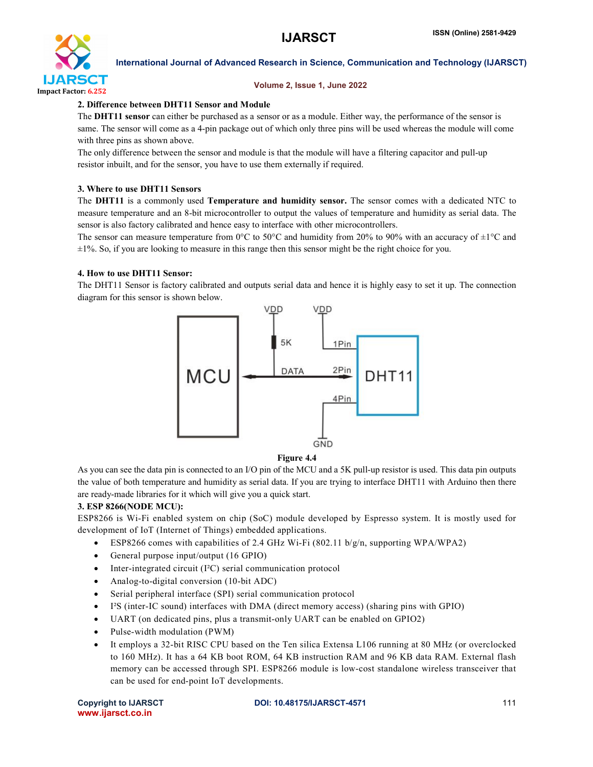

### Volume 2, Issue 1, June 2022

# 2. Difference between DHT11 Sensor and Module

The DHT11 sensor can either be purchased as a sensor or as a module. Either way, the performance of the sensor is same. The sensor will come as a 4-pin package out of which only three pins will be used whereas the module will come with three pins as shown above.

The only difference between the sensor and module is that the module will have a filtering capacitor and pull-up resistor inbuilt, and for the sensor, you have to use them externally if required.

# 3. Where to use DHT11 Sensors

The DHT11 is a commonly used Temperature and humidity sensor. The sensor comes with a dedicated NTC to measure temperature and an 8-bit microcontroller to output the values of temperature and humidity as serial data. The sensor is also factory calibrated and hence easy to interface with other microcontrollers.

The sensor can measure temperature from 0°C to 50°C and humidity from 20% to 90% with an accuracy of  $\pm 1$ °C and  $\pm 1\%$ . So, if you are looking to measure in this range then this sensor might be the right choice for you.

# 4. How to use DHT11 Sensor:

The DHT11 Sensor is factory calibrated and outputs serial data and hence it is highly easy to set it up. The connection diagram for this sensor is shown below.



# Figure 4.4

As you can see the data pin is connected to an I/O pin of the MCU and a 5K pull-up resistor is used. This data pin outputs the value of both temperature and humidity as serial data. If you are trying to interface DHT11 with Arduino then there are ready-made libraries for it which will give you a quick start.

# 3. ESP 8266(NODE MCU):

ESP8266 is Wi-Fi enabled system on chip (SoC) module developed by Espresso system. It is mostly used for development of IoT (Internet of Things) embedded applications.

- ESP8266 comes with capabilities of 2.4 GHz Wi-Fi (802.11 b/g/n, supporting WPA/WPA2)
- General purpose input/output (16 GPIO)
- $\bullet$  Inter-integrated circuit (I<sup>2</sup>C) serial communication protocol
- Analog-to-digital conversion (10-bit ADC)
- Serial peripheral interface (SPI) serial communication protocol
- I²S (inter-IC sound) interfaces with DMA (direct memory access) (sharing pins with GPIO)
- UART (on dedicated pins, plus a transmit-only UART can be enabled on GPIO2)
- Pulse-width modulation (PWM)
- It employs a 32-bit RISC CPU based on the Ten silica Extensa L106 running at 80 MHz (or overclocked to 160 MHz). It has a 64 KB boot ROM, 64 KB instruction RAM and 96 KB data RAM. External flash memory can be accessed through SPI. ESP8266 module is low-cost standalone wireless transceiver that can be used for end-point IoT developments.

www.ijarsct.co.in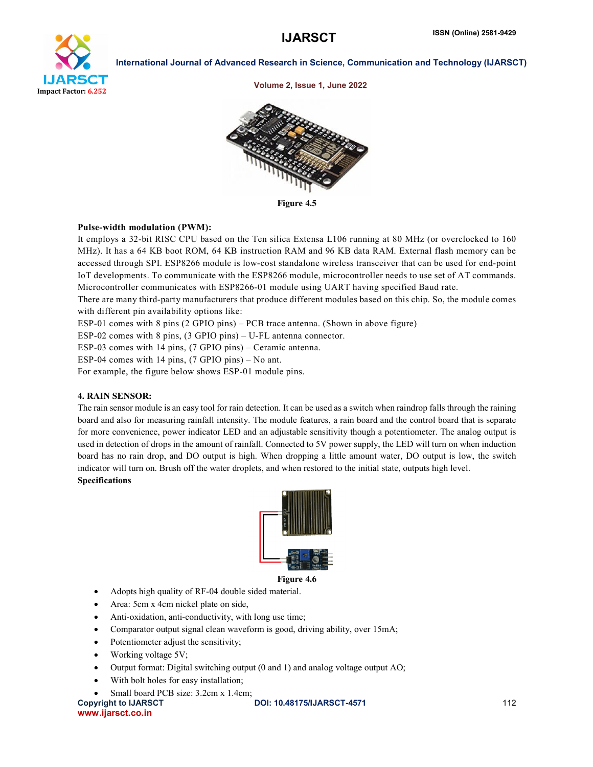

Volume 2, Issue 1, June 2022



Figure 4.5

# Pulse-width modulation (PWM):

It employs a 32-bit RISC CPU based on the Ten silica Extensa L106 running at 80 MHz (or overclocked to 160 MHz). It has a 64 KB boot ROM, 64 KB instruction RAM and 96 KB data RAM. External flash memory can be accessed through SPI. ESP8266 module is low-cost standalone wireless transceiver that can be used for end-point IoT developments. To communicate with the ESP8266 module, microcontroller needs to use set of AT commands. Microcontroller communicates with ESP8266-01 module using UART having specified Baud rate.

There are many third-party manufacturers that produce different modules based on this chip. So, the module comes with different pin availability options like:

ESP-01 comes with 8 pins (2 GPIO pins) – PCB trace antenna. (Shown in above figure)

ESP-02 comes with 8 pins, (3 GPIO pins) – U-FL antenna connector.

ESP-03 comes with 14 pins, (7 GPIO pins) – Ceramic antenna.

ESP-04 comes with 14 pins, (7 GPIO pins) – No ant.

For example, the figure below shows ESP-01 module pins.

# 4. RAIN SENSOR:

The rain sensor module is an easy tool for rain detection. It can be used as a switch when raindrop falls through the raining board and also for measuring rainfall intensity. The module features, a rain board and the control board that is separate for more convenience, power indicator LED and an adjustable sensitivity though a potentiometer. The analog output is used in detection of drops in the amount of rainfall. Connected to 5V power supply, the LED will turn on when induction board has no rain drop, and DO output is high. When dropping a little amount water, DO output is low, the switch indicator will turn on. Brush off the water droplets, and when restored to the initial state, outputs high level. Specifications



Figure 4.6

- Adopts high quality of RF-04 double sided material.
- Area: 5cm x 4cm nickel plate on side,
- Anti-oxidation, anti-conductivity, with long use time;
- Comparator output signal clean waveform is good, driving ability, over 15mA;
- Potentiometer adjust the sensitivity;
- Working voltage 5V;
- Output format: Digital switching output (0 and 1) and analog voltage output AO;
- With bolt holes for easy installation;
- Small board PCB size: 3.2cm x 1.4cm;

www.ijarsct.co.in